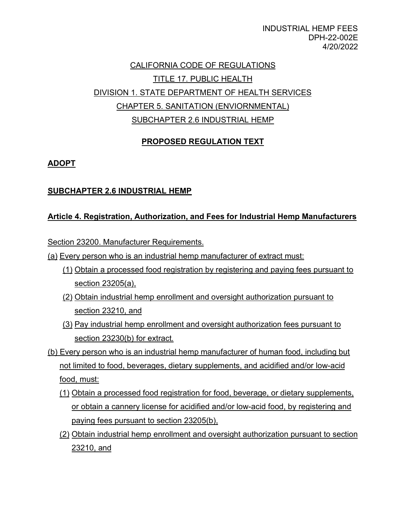INDUSTRIAL HEMP FEES DPH-22-002E 4/20/2022

# CALIFORNIA CODE OF REGULATIONS TITLE 17. PUBLIC HEALTH DIVISION 1. STATE DEPARTMENT OF HEALTH SERVICES CHAPTER 5. SANITATION (ENVIORNMENTAL) SUBCHAPTER 2.6 INDUSTRIAL HEMP

## **PROPOSED REGULATION TEXT**

### **ADOPT**

### **SUBCHAPTER 2.6 INDUSTRIAL HEMP**

### **Article 4. Registration, Authorization, and Fees for Industrial Hemp Manufacturers**

Section 23200. Manufacturer Requirements.

- (a) Every person who is an industrial hemp manufacturer of extract must:
	- (1) Obtain a processed food registration by registering and paying fees pursuant to section 23205(a),
	- (2) Obtain industrial hemp enrollment and oversight authorization pursuant to section 23210, and
	- (3) Pay industrial hemp enrollment and oversight authorization fees pursuant to section 23230(b) for extract.
- not limited to food, beverages, dietary supplements, and acidified and/or low-acid food, must: (b) Every person who is an industrial hemp manufacturer of human food, including but
	- (1) Obtain a processed food registration for food, beverage, or dietary supplements, or obtain a cannery license for acidified and/or low-acid food, by registering and paying fees pursuant to section 23205(b),
	- (2) Obtain industrial hemp enrollment and oversight authorization pursuant to section 23210, and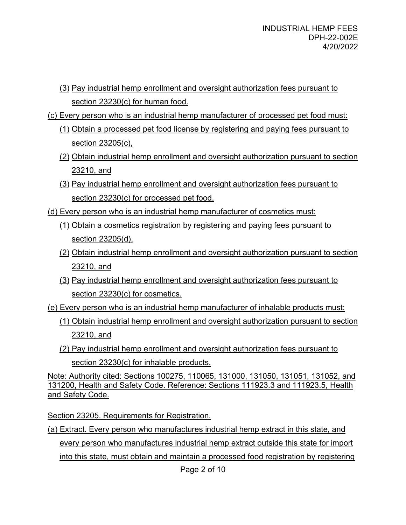- (3) Pay industrial hemp enrollment and oversight authorization fees pursuant to section 23230(c) for human food.
- (c) Every person who is an industrial hemp manufacturer of processed pet food must:
	- (1) Obtain a processed pet food license by registering and paying fees pursuant to section 23205(c),
	- (2) Obtain industrial hemp enrollment and oversight authorization pursuant to section 23210, and
	- section 23230(c) for processed pet food. (3) Pay industrial hemp enrollment and oversight authorization fees pursuant to
- (d) Every person who is an industrial hemp manufacturer of cosmetics must:
	- (1) Obtain a cosmetics registration by registering and paying fees pursuant to section 23205(d),
	- (2) Obtain industrial hemp enrollment and oversight authorization pursuant to section 23210, and
	- section 23230(c) for cosmetics. (3) Pay industrial hemp enrollment and oversight authorization fees pursuant to
- (e) Every person who is an industrial hemp manufacturer of inhalable products must:
	- 23210, and (1) Obtain industrial hemp enrollment and oversight authorization pursuant to section
	- (2) Pay industrial hemp enrollment and oversight authorization fees pursuant to section 23230(c) for inhalable products.

Note: Authority cited: Sections 100275, 110065, 131000, 131050, 131051, 131052, and 131200, Health and Safety Code. Reference: Sections 111923.3 and 111923.5, Health and Safety Code.

Section 23205. Requirements for Registration.

 (a) Extract. Every person who manufactures industrial hemp extract in this state, and every person who manufactures industrial hemp extract outside this state for import into this state, must obtain and maintain a processed food registration by registering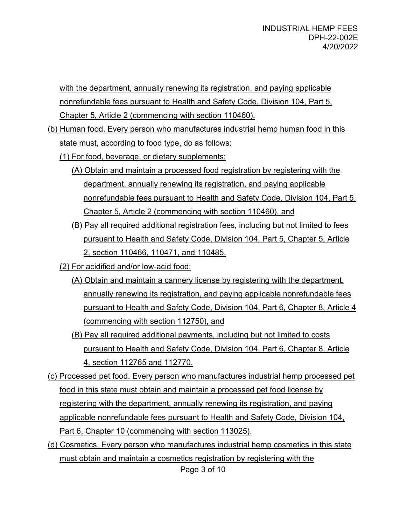with the department, annually renewing its registration, and paying applicable nonrefundable fees pursuant to Health and Safety Code, Division 104, Part 5, Chapter 5, Article 2 (commencing with section 110460).

- (b) Human food. Every person who manufactures industrial hemp human food in this state must, according to food type, do as follows:
	- (1) For food, beverage, or dietary supplements:
		- department, annually renewing its registration, and paying applicable nonrefundable fees pursuant to Health and Safety Code, Division 104, Part 5, (A) Obtain and maintain a processed food registration by registering with the Chapter 5, Article 2 (commencing with section 110460), and
		- (B) Pay all required additional registration fees, including but not limited to fees pursuant to Health and Safety Code, Division 104, Part 5, Chapter 5, Article 2, section 110466, 110471, and 110485.
	- (2) For acidified and/or low-acid food:
		- (commencing with section 112750), and (A) Obtain and maintain a cannery license by registering with the department, annually renewing its registration, and paying applicable nonrefundable fees pursuant to Health and Safety Code, Division 104, Part 6, Chapter 8, Article 4
		- 4, section 112765 and 112770. (B) Pay all required additional payments, including but not limited to costs pursuant to Health and Safety Code, Division 104, Part 6, Chapter 8, Article
- Part 6, Chapter 10 (commencing with section 113025). Part 6, Chapter 10 (commencing with section 113025). (d) Cosmetics. Every person who manufactures industrial hemp cosmetics in this state (c) Processed pet food. Every person who manufactures industrial hemp processed pet food in this state must obtain and maintain a processed pet food license by registering with the department, annually renewing its registration, and paying applicable nonrefundable fees pursuant to Health and Safety Code, Division 104,
- must obtain and maintain a cosmetics registration by registering with the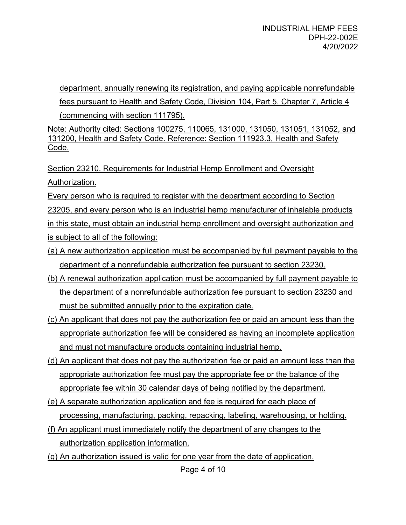department, annually renewing its registration, and paying applicable nonrefundable (commencing with section 111795). fees pursuant to Health and Safety Code, Division 104, Part 5, Chapter 7, Article 4

Note: Authority cited: Sections 100275, 110065, 131000, 131050, 131051, 131052, and 131200, Health and Safety Code. Reference: Section 111923.3, Health and Safety Code.

Section 23210. Requirements for Industrial Hemp Enrollment and Oversight Authorization.

 in this state, must obtain an industrial hemp enrollment and oversight authorization and Every person who is required to register with the department according to Section 23205, and every person who is an industrial hemp manufacturer of inhalable products is subject to all of the following:

- (a) A new authorization application must be accompanied by full payment payable to the department of a nonrefundable authorization fee pursuant to section 23230.
- (b) A renewal authorization application must be accompanied by full payment payable to the department of a nonrefundable authorization fee pursuant to section 23230 and must be submitted annually prior to the expiration date.
- (c) An applicant that does not pay the authorization fee or paid an amount less than the appropriate authorization fee will be considered as having an incomplete application and must not manufacture products containing industrial hemp.
- appropriate fee within 30 calendar days of being notified by the department. (d) An applicant that does not pay the authorization fee or paid an amount less than the appropriate authorization fee must pay the appropriate fee or the balance of the
- (e) A separate authorization application and fee is required for each place of processing, manufacturing, packing, repacking, labeling, warehousing, or holding.
- (f) An applicant must immediately notify the department of any changes to the authorization application information.
- (g) An authorization issued is valid for one year from the date of application.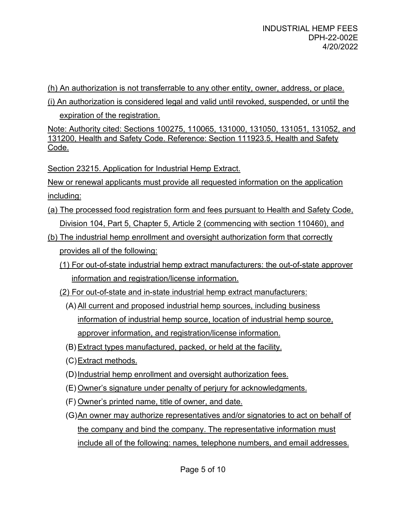(h) An authorization is not transferrable to any other entity, owner, address, or place.

(i) An authorization is considered legal and valid until revoked, suspended, or until the

expiration of the registration.

Note: Authority cited: Sections 100275, 110065, 131000, 131050, 131051, 131052, and 131200, Health and Safety Code. Reference: Section 111923.5, Health and Safety Code.

Section 23215. Application for Industrial Hemp Extract.

New or renewal applicants must provide all requested information on the application including:

- (a) The processed food registration form and fees pursuant to Health and Safety Code, Division 104, Part 5, Chapter 5, Article 2 (commencing with section 110460), and
- (b) The industrial hemp enrollment and oversight authorization form that correctly provides all of the following:
	- information and registration/license information. (1) For out-of-state industrial hemp extract manufacturers: the out-of-state approver
	- (2) For out-of-state and in-state industrial hemp extract manufacturers:
		- (A) All current and proposed industrial hemp sources, including business information of industrial hemp source, location of industrial hemp source, approver information, and registration/license information.
		- (B) Extract types manufactured, packed, or held at the facility.
		- (C)Extract methods.
		- (D)Industrial hemp enrollment and oversight authorization fees.
		- (E) Owner's signature under penalty of perjury for acknowledgments.
		- (F) Owner's printed name, title of owner, and date.
		- (G)An owner may authorize representatives and/or signatories to act on behalf of include all of the following: names, telephone numbers, and email addresses. the company and bind the company. The representative information must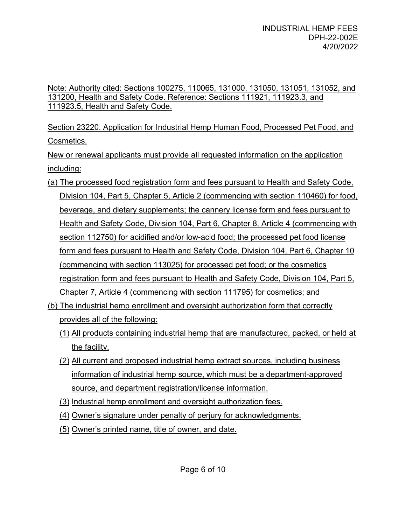Note: Authority cited: Sections 100275, 110065, 131000, 131050, 131051, 131052, and 131200, Health and Safety Code. Reference: Sections 111921, 111923.3, and 111923.5, Health and Safety Code.

Section 23220. Application for Industrial Hemp Human Food, Processed Pet Food, and Cosmetics.

New or renewal applicants must provide all requested information on the application including:

- Chapter 7, Article 4 (commencing with section 111795) for cosmetics; and (a) The processed food registration form and fees pursuant to Health and Safety Code, Division 104, Part 5, Chapter 5, Article 2 (commencing with section 110460) for food, beverage, and dietary supplements; the cannery license form and fees pursuant to Health and Safety Code, Division 104, Part 6, Chapter 8, Article 4 (commencing with section 112750) for acidified and/or low-acid food; the processed pet food license form and fees pursuant to Health and Safety Code, Division 104, Part 6, Chapter 10 (commencing with section 113025) for processed pet food; or the cosmetics registration form and fees pursuant to Health and Safety Code, Division 104, Part 5,
- (b) The industrial hemp enrollment and oversight authorization form that correctly provides all of the following:
	- (1) All products containing industrial hemp that are manufactured, packed, or held at the facility.
	- (2) All current and proposed industrial hemp extract sources, including business information of industrial hemp source, which must be a department-approved source, and department registration/license information.
	- (3) Industrial hemp enrollment and oversight authorization fees.
	- (4) Owner's signature under penalty of perjury for acknowledgments.
	- (5) Owner's printed name, title of owner, and date.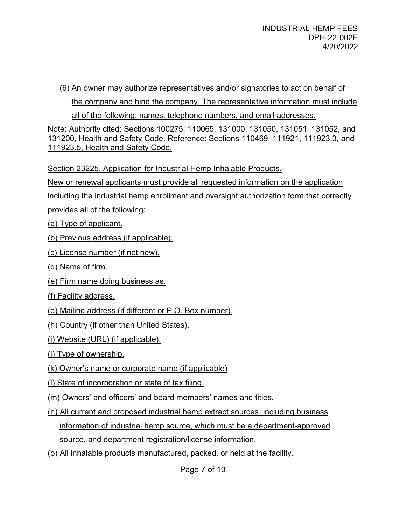(6) An owner may authorize representatives and/or signatories to act on behalf of

the company and bind the company. The representative information must include all of the following: names, telephone numbers, and email addresses.

Note: Authority cited: Sections 100275, 110065, 131000, 131050, 131051, 131052, and 131200, Health and Safety Code. Reference: Sections 110469, 111921, 111923.3, and 111923.5, Health and Safety Code.

Section 23225. Application for Industrial Hemp Inhalable Products.

New or renewal applicants must provide all requested information on the application

including the industrial hemp enrollment and oversight authorization form that correctly

provides all of the following:

(a) Type of applicant.

(b) Previous address (if applicable).

(c) License number (if not new).

- (d) Name of firm.
- (e) Firm name doing business as.
- (f) Facility address.

(g) Mailing address (if different or P.O. Box number).

(h) Country (if other than United States).

(i) Website (URL) (if applicable).

(j) Type of ownership.

- (k) Owner's name or corporate name (if applicable)
- (l) State of incorporation or state of tax filing.

(m) Owners' and officers' and board members' names and titles.

(n) All current and proposed industrial hemp extract sources, including business

information of industrial hemp source, which must be a department-approved source, and department registration/license information.

(o) All inhalable products manufactured, packed, or held at the facility.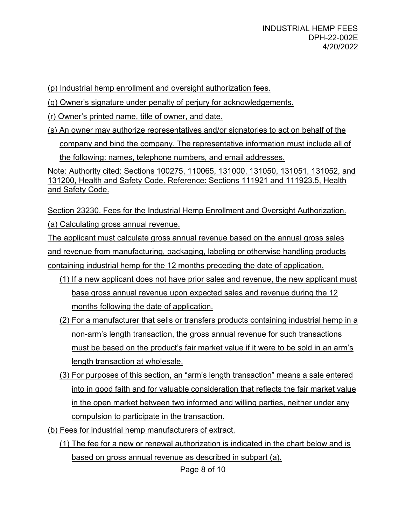(p) Industrial hemp enrollment and oversight authorization fees.

(q) Owner's signature under penalty of perjury for acknowledgements.

(r) Owner's printed name, title of owner, and date.

 the following: names, telephone numbers, and email addresses. (s) An owner may authorize representatives and/or signatories to act on behalf of the company and bind the company. The representative information must include all of

Note: Authority cited: Sections 100275, 110065, 131000, 131050, 131051, 131052, and 131200, Health and Safety Code. Reference: Sections 111921 and 111923.5, Health and Safety Code.

Section 23230. Fees for the Industrial Hemp Enrollment and Oversight Authorization. (a) Calculating gross annual revenue.

 The applicant must calculate gross annual revenue based on the annual gross sales containing industrial hemp for the 12 months preceding the date of application. and revenue from manufacturing, packaging, labeling or otherwise handling products

- (1) If a new applicant does not have prior sales and revenue, the new applicant must base gross annual revenue upon expected sales and revenue during the 12 months following the date of application.
- (2) For a manufacturer that sells or transfers products containing industrial hemp in a non-arm's length transaction, the gross annual revenue for such transactions must be based on the product's fair market value if it were to be sold in an arm's length transaction at wholesale.
- (3) For purposes of this section, an "arm's length transaction" means a sale entered into in good faith and for valuable consideration that reflects the fair market value in the open market between two informed and willing parties, neither under any compulsion to participate in the transaction.

(b) Fees for industrial hemp manufacturers of extract.

(1) The fee for a new or renewal authorization is indicated in the chart below and is based on gross annual revenue as described in subpart (a).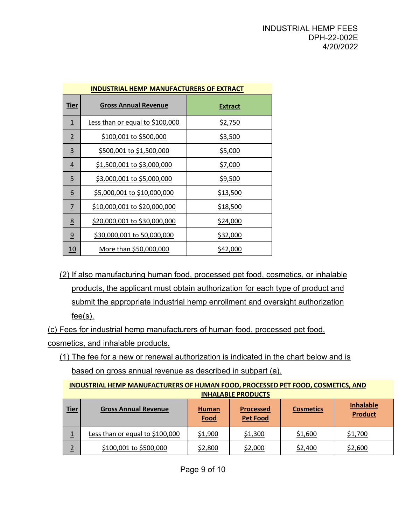| <b>INDUSTRIAL HEMP MANUFACTURERS OF EXTRACT</b> |                                     |                 |  |  |  |  |
|-------------------------------------------------|-------------------------------------|-----------------|--|--|--|--|
| <u>Tier</u>                                     | <b>Gross Annual Revenue</b>         | <b>Extract</b>  |  |  |  |  |
| $\overline{1}$                                  | Less than or equal to \$100,000     | <u>\$2,750</u>  |  |  |  |  |
| $\overline{2}$                                  | \$100,001 to \$500,000              | <u>\$3,500</u>  |  |  |  |  |
| $\overline{3}$                                  | <u>\$500,001 to \$1,500,000</u>     | <u>\$5,000</u>  |  |  |  |  |
| $\overline{4}$                                  | \$1,500,001 to \$3,000,000          | <u>\$7,000</u>  |  |  |  |  |
| $\overline{5}$                                  | <u>\$3,000,001 to \$5,000,000</u>   | <u>\$9,500</u>  |  |  |  |  |
| <u>6</u>                                        | <u>\$5,000,001 to \$10,000,000</u>  | <u>\$13,500</u> |  |  |  |  |
| $\overline{1}$                                  | <u>\$10,000,001 to \$20,000,000</u> | <u>\$18,500</u> |  |  |  |  |
| $\underline{8}$                                 | <u>\$20,000,001 to \$30,000,000</u> | <u>\$24,000</u> |  |  |  |  |
| $\overline{9}$                                  | <u>\$30,000,001 to 50,000,000</u>   | <u>\$32,000</u> |  |  |  |  |
| <u> 10</u>                                      | More than \$50,000,000              | <u>\$42,000</u> |  |  |  |  |

 $fee(s)$ . (2) If also manufacturing human food, processed pet food, cosmetics, or inhalable products, the applicant must obtain authorization for each type of product and submit the appropriate industrial hemp enrollment and oversight authorization

(c) Fees for industrial hemp manufacturers of human food, processed pet food, cosmetics, and inhalable products.

 (1) The fee for a new or renewal authorization is indicated in the chart below and is based on gross annual revenue as described in subpart (a).

**INDUSTRIAL HEMP MANUFACTURERS OF HUMAN FOOD, PROCESSED PET FOOD, COSMETICS, AND INHALABLE PRODUCTS** 

| <b>Tier</b> | <b>Gross Annual Revenue</b>     | Human<br><b>Food</b> | <b>Processed</b><br><b>Pet Food</b> | <b>Cosmetics</b> | <b>Inhalable</b><br><b>Product</b> |
|-------------|---------------------------------|----------------------|-------------------------------------|------------------|------------------------------------|
|             | Less than or equal to \$100,000 | \$1,900              | \$1,300                             | \$1,600          | \$1,700                            |
| ∠           | \$100,001 to \$500,000          | \$2,800              | \$2,000                             | \$2,400          | \$2,600                            |